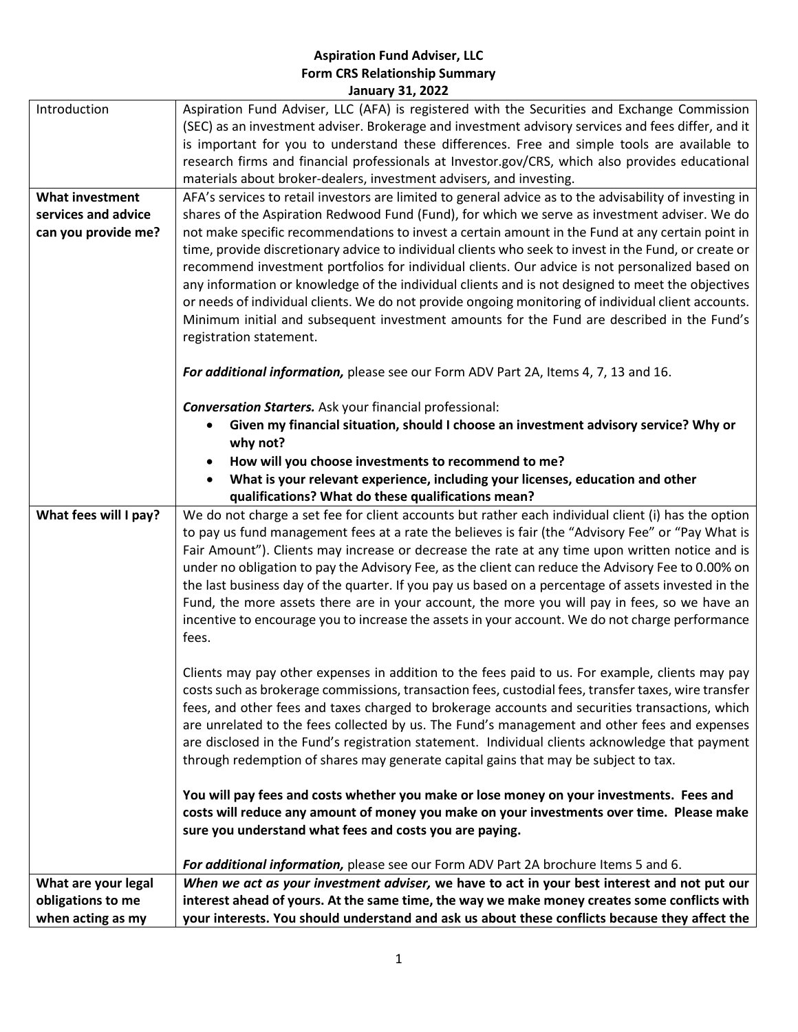## **Aspiration Fund Adviser, LLC Form CRS Relationship Summary January 31, 2022**

| Introduction           | Aspiration Fund Adviser, LLC (AFA) is registered with the Securities and Exchange Commission                                                                                                                                                                                                                                                                                                                                                                                                                                                                                                                                                                                                                                          |
|------------------------|---------------------------------------------------------------------------------------------------------------------------------------------------------------------------------------------------------------------------------------------------------------------------------------------------------------------------------------------------------------------------------------------------------------------------------------------------------------------------------------------------------------------------------------------------------------------------------------------------------------------------------------------------------------------------------------------------------------------------------------|
|                        | (SEC) as an investment adviser. Brokerage and investment advisory services and fees differ, and it                                                                                                                                                                                                                                                                                                                                                                                                                                                                                                                                                                                                                                    |
|                        | is important for you to understand these differences. Free and simple tools are available to                                                                                                                                                                                                                                                                                                                                                                                                                                                                                                                                                                                                                                          |
|                        | research firms and financial professionals at Investor.gov/CRS, which also provides educational                                                                                                                                                                                                                                                                                                                                                                                                                                                                                                                                                                                                                                       |
|                        | materials about broker-dealers, investment advisers, and investing.                                                                                                                                                                                                                                                                                                                                                                                                                                                                                                                                                                                                                                                                   |
| <b>What investment</b> | AFA's services to retail investors are limited to general advice as to the advisability of investing in                                                                                                                                                                                                                                                                                                                                                                                                                                                                                                                                                                                                                               |
| services and advice    | shares of the Aspiration Redwood Fund (Fund), for which we serve as investment adviser. We do                                                                                                                                                                                                                                                                                                                                                                                                                                                                                                                                                                                                                                         |
| can you provide me?    | not make specific recommendations to invest a certain amount in the Fund at any certain point in                                                                                                                                                                                                                                                                                                                                                                                                                                                                                                                                                                                                                                      |
|                        | time, provide discretionary advice to individual clients who seek to invest in the Fund, or create or                                                                                                                                                                                                                                                                                                                                                                                                                                                                                                                                                                                                                                 |
|                        | recommend investment portfolios for individual clients. Our advice is not personalized based on                                                                                                                                                                                                                                                                                                                                                                                                                                                                                                                                                                                                                                       |
|                        | any information or knowledge of the individual clients and is not designed to meet the objectives                                                                                                                                                                                                                                                                                                                                                                                                                                                                                                                                                                                                                                     |
|                        | or needs of individual clients. We do not provide ongoing monitoring of individual client accounts.                                                                                                                                                                                                                                                                                                                                                                                                                                                                                                                                                                                                                                   |
|                        | Minimum initial and subsequent investment amounts for the Fund are described in the Fund's                                                                                                                                                                                                                                                                                                                                                                                                                                                                                                                                                                                                                                            |
|                        |                                                                                                                                                                                                                                                                                                                                                                                                                                                                                                                                                                                                                                                                                                                                       |
|                        | registration statement.                                                                                                                                                                                                                                                                                                                                                                                                                                                                                                                                                                                                                                                                                                               |
|                        | For additional information, please see our Form ADV Part 2A, Items 4, 7, 13 and 16.                                                                                                                                                                                                                                                                                                                                                                                                                                                                                                                                                                                                                                                   |
|                        |                                                                                                                                                                                                                                                                                                                                                                                                                                                                                                                                                                                                                                                                                                                                       |
|                        | <b>Conversation Starters.</b> Ask your financial professional:                                                                                                                                                                                                                                                                                                                                                                                                                                                                                                                                                                                                                                                                        |
|                        | Given my financial situation, should I choose an investment advisory service? Why or                                                                                                                                                                                                                                                                                                                                                                                                                                                                                                                                                                                                                                                  |
|                        | why not?                                                                                                                                                                                                                                                                                                                                                                                                                                                                                                                                                                                                                                                                                                                              |
|                        | How will you choose investments to recommend to me?<br>$\bullet$                                                                                                                                                                                                                                                                                                                                                                                                                                                                                                                                                                                                                                                                      |
|                        | What is your relevant experience, including your licenses, education and other<br>$\bullet$                                                                                                                                                                                                                                                                                                                                                                                                                                                                                                                                                                                                                                           |
|                        | qualifications? What do these qualifications mean?                                                                                                                                                                                                                                                                                                                                                                                                                                                                                                                                                                                                                                                                                    |
| What fees will I pay?  | We do not charge a set fee for client accounts but rather each individual client (i) has the option<br>to pay us fund management fees at a rate the believes is fair (the "Advisory Fee" or "Pay What is<br>Fair Amount"). Clients may increase or decrease the rate at any time upon written notice and is<br>under no obligation to pay the Advisory Fee, as the client can reduce the Advisory Fee to 0.00% on<br>the last business day of the quarter. If you pay us based on a percentage of assets invested in the<br>Fund, the more assets there are in your account, the more you will pay in fees, so we have an<br>incentive to encourage you to increase the assets in your account. We do not charge performance<br>fees. |
|                        | Clients may pay other expenses in addition to the fees paid to us. For example, clients may pay<br>costs such as brokerage commissions, transaction fees, custodial fees, transfer taxes, wire transfer<br>fees, and other fees and taxes charged to brokerage accounts and securities transactions, which<br>are unrelated to the fees collected by us. The Fund's management and other fees and expenses<br>are disclosed in the Fund's registration statement. Individual clients acknowledge that payment<br>through redemption of shares may generate capital gains that may be subject to tax.                                                                                                                                  |
|                        |                                                                                                                                                                                                                                                                                                                                                                                                                                                                                                                                                                                                                                                                                                                                       |
|                        | You will pay fees and costs whether you make or lose money on your investments. Fees and                                                                                                                                                                                                                                                                                                                                                                                                                                                                                                                                                                                                                                              |
|                        | costs will reduce any amount of money you make on your investments over time. Please make                                                                                                                                                                                                                                                                                                                                                                                                                                                                                                                                                                                                                                             |
|                        | sure you understand what fees and costs you are paying.                                                                                                                                                                                                                                                                                                                                                                                                                                                                                                                                                                                                                                                                               |
|                        |                                                                                                                                                                                                                                                                                                                                                                                                                                                                                                                                                                                                                                                                                                                                       |
|                        | For additional information, please see our Form ADV Part 2A brochure Items 5 and 6.                                                                                                                                                                                                                                                                                                                                                                                                                                                                                                                                                                                                                                                   |
| What are your legal    | When we act as your investment adviser, we have to act in your best interest and not put our                                                                                                                                                                                                                                                                                                                                                                                                                                                                                                                                                                                                                                          |
| obligations to me      | interest ahead of yours. At the same time, the way we make money creates some conflicts with<br>your interests. You should understand and ask us about these conflicts because they affect the                                                                                                                                                                                                                                                                                                                                                                                                                                                                                                                                        |